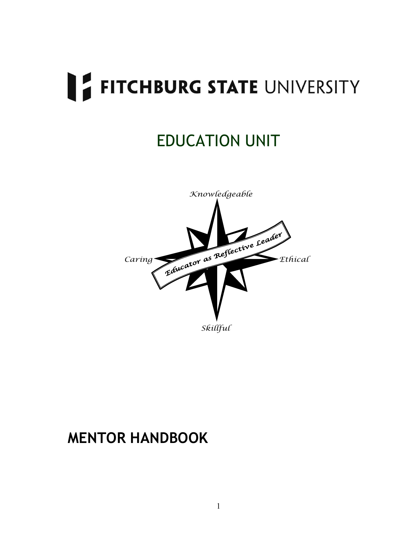## EDUCATION UNIT



### **MENTOR HANDBOOK**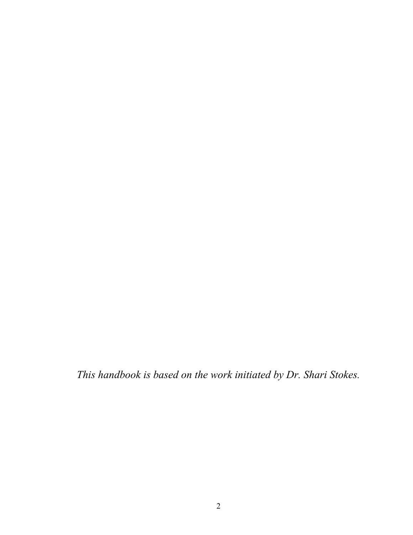*This handbook is based on the work initiated by Dr. Shari Stokes.*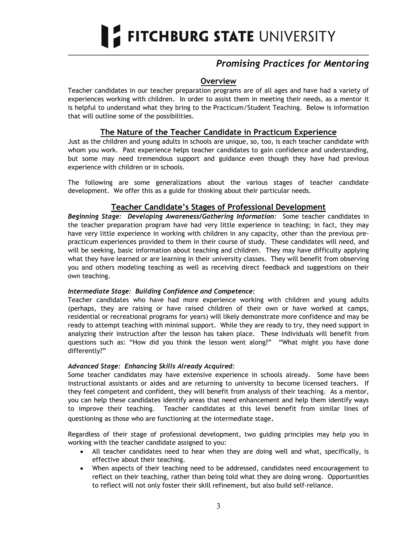#### *Promising Practices for Mentoring*

#### **Overview**

Teacher candidates in our teacher preparation programs are of all ages and have had a variety of experiences working with children. In order to assist them in meeting their needs, as a mentor it is helpful to understand what they bring to the Practicum/Student Teaching. Below is information that will outline some of the possibilities.

#### **The Nature of the Teacher Candidate in Practicum Experience**

Just as the children and young adults in schools are unique, so, too, is each teacher candidate with whom you work. Past experience helps teacher candidates to gain confidence and understanding, but some may need tremendous support and guidance even though they have had previous experience with children or in schools.

The following are some generalizations about the various stages of teacher candidate development. We offer this as a guide for thinking about their particular needs.

#### **Teacher Candidate's Stages of Professional Development**

*Beginning Stage: Developing Awareness/Gathering Information:*Some teacher candidates in the teacher preparation program have had very little experience in teaching; in fact, they may have very little experience in working with children in any capacity, other than the previous prepracticum experiences provided to them in their course of study. These candidates will need, and will be seeking, basic information about teaching and children. They may have difficulty applying what they have learned or are learning in their university classes. They will benefit from observing you and others modeling teaching as well as receiving direct feedback and suggestions on their own teaching.

#### *Intermediate Stage: Building Confidence and Competence:*

Teacher candidates who have had more experience working with children and young adults (perhaps, they are raising or have raised children of their own or have worked at camps, residential or recreational programs for years) will likely demonstrate more confidence and may be ready to attempt teaching with minimal support. While they are ready to try, they need support in analyzing their instruction after the lesson has taken place. These individuals will benefit from questions such as: "How did you think the lesson went along?" "What might you have done differently?"

#### *Advanced Stage: Enhancing Skills Already Acquired:*

Some teacher candidates may have extensive experience in schools already. Some have been instructional assistants or aides and are returning to university to become licensed teachers. If they feel competent and confident, they will benefit from analysis of their teaching. As a mentor, you can help these candidates identify areas that need enhancement and help them identify ways to improve their teaching. Teacher candidates at this level benefit from similar lines of questioning as those who are functioning at the intermediate stage.

Regardless of their stage of professional development, two guiding principles may help you in working with the teacher candidate assigned to you:

- All teacher candidates need to hear when they are doing well and what, specifically, is effective about their teaching.
- When aspects of their teaching need to be addressed, candidates need encouragement to reflect on their teaching, rather than being told what they are doing wrong. Opportunities to reflect will not only foster their skill refinement, but also build self-reliance.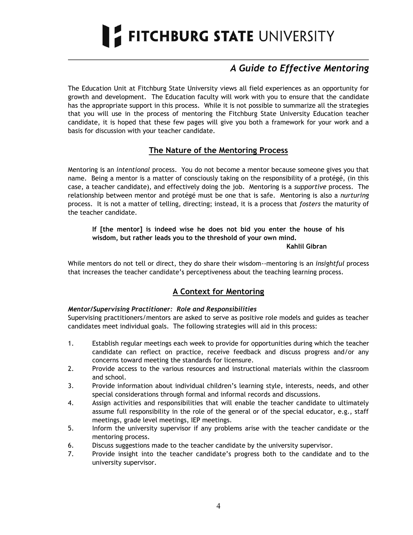#### *A Guide to Effective Mentoring*

The Education Unit at Fitchburg State University views all field experiences as an opportunity for growth and development. The Education faculty will work with you to ensure that the candidate has the appropriate support in this process. While it is not possible to summarize all the strategies that you will use in the process of mentoring the Fitchburg State University Education teacher candidate, it is hoped that these few pages will give you both a framework for your work and a basis for discussion with your teacher candidate.

#### **The Nature of the Mentoring Process**

Mentoring is an *intentional* process. You do not become a mentor because someone gives you that name. Being a mentor is a matter of consciously taking on the responsibility of a protégé, (in this case, a teacher candidate), and effectively doing the job. Mentoring is a *supportive* process. The relationship between mentor and protégé must be one that is safe. Mentoring is also a *nurturing* process. It is not a matter of telling, directing; instead, it is a process that *fosters* the maturity of the teacher candidate.

#### **If [the mentor] is indeed wise he does not bid you enter the house of his wisdom, but rather leads you to the threshold of your own mind.**

**Kahlil Gibran**

While mentors do not tell or direct, they do share their wisdom--mentoring is an *insightful* process that increases the teacher candidate"s perceptiveness about the teaching learning process.

#### **A Context for Mentoring**

#### *Mentor/Supervising Practitioner: Role and Responsibilities*

Supervising practitioners/mentors are asked to serve as positive role models and guides as teacher candidates meet individual goals. The following strategies will aid in this process:

- 1. Establish regular meetings each week to provide for opportunities during which the teacher candidate can reflect on practice, receive feedback and discuss progress and/or any concerns toward meeting the standards for licensure.
- 2. Provide access to the various resources and instructional materials within the classroom and school.
- 3. Provide information about individual children"s learning style, interests, needs, and other special considerations through formal and informal records and discussions.
- 4. Assign activities and responsibilities that will enable the teacher candidate to ultimately assume full responsibility in the role of the general or of the special educator, e.g., staff meetings, grade level meetings, IEP meetings.
- 5. Inform the university supervisor if any problems arise with the teacher candidate or the mentoring process.
- 6. Discuss suggestions made to the teacher candidate by the university supervisor.
- 7. Provide insight into the teacher candidate"s progress both to the candidate and to the university supervisor.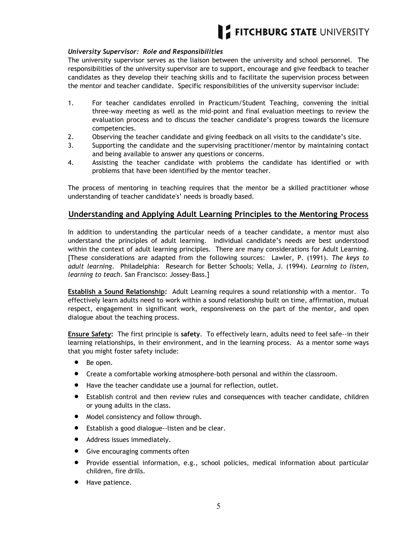#### *University Supervisor: Role and Responsibilities*

The university supervisor serves as the liaison between the university and school personnel. The responsibilities of the university supervisor are to support, encourage and give feedback to teacher candidates as they develop their teaching skills and to facilitate the supervision process between the mentor and teacher candidate. Specific responsibilities of the university supervisor include:

- 1. For teacher candidates enrolled in Practicum/Student Teaching, convening the initial three-way meeting as well as the mid-point and final evaluation meetings to review the evaluation process and to discuss the teacher candidate"s progress towards the licensure competencies.
- 2. Observing the teacher candidate and giving feedback on all visits to the candidate"s site.
- 3. Supporting the candidate and the supervising practitioner/mentor by maintaining contact and being available to answer any questions or concerns.
- 4. Assisting the teacher candidate with problems the candidate has identified or with problems that have been identified by the mentor teacher.

The process of mentoring in teaching requires that the mentor be a skilled practitioner whose understanding of teacher candidate's' needs is broadly based.

#### **Understanding and Applying Adult Learning Principles to the Mentoring Process**

In addition to understanding the particular needs of a teacher candidate, a mentor must also understand the principles of adult learning. Individual candidate"s needs are best understood within the context of adult learning principles. There are many considerations for Adult Learning. [These considerations are adapted from the following sources: Lawler, P. (1991). *The keys to adult learning*. Philadelphia: Research for Better Schools; Vella, J. (1994). *Learning to listen, learning to teach*. San Francisco: Jossey-Bass.]

**Establish a Sound Relationship:** Adult Learning requires a sound relationship with a mentor. To effectively learn adults need to work within a sound relationship built on time, affirmation, mutual respect, engagement in significant work, responsiveness on the part of the mentor, and open dialogue about the teaching process.

**Ensure Safety:** The first principle is **safety**. To effectively learn, adults need to feel safe--in their learning relationships, in their environment, and in the learning process. As a mentor some ways that you might foster safety include:

- Be open.
- Create a comfortable working atmosphere-both personal and within the classroom.
- Have the teacher candidate use a journal for reflection, outlet.
- Establish control and then review rules and consequences with teacher candidate, children or young adults in the class.
- $\bullet$  Model consistency and follow through.
- Establish a good dialogue--listen and be clear.
- Address issues immediately.
- Give encouraging comments often
- Provide essential information, e.g., school policies, medical information about particular children, fire drills.
- Have patience.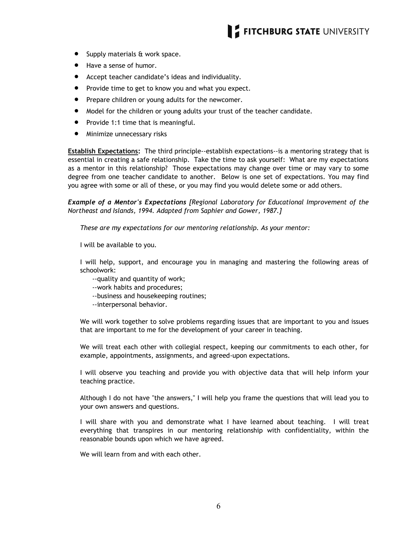- Supply materials & work space.
- Have a sense of humor.
- Accept teacher candidate"s ideas and individuality.
- Provide time to get to know you and what you expect.
- Prepare children or young adults for the newcomer.
- Model for the children or young adults your trust of the teacher candidate.
- Provide 1:1 time that is meaningful.
- **•** Minimize unnecessary risks

**Establish Expectations:** The third principle--establish expectations--is a mentoring strategy that is essential in creating a safe relationship. Take the time to ask yourself: What are my expectations as a mentor in this relationship? Those expectations may change over time or may vary to some degree from one teacher candidate to another. Below is one set of expectations. You may find you agree with some or all of these, or you may find you would delete some or add others.

*Example of a Mentor's Expectations [Regional Laboratory for Educational Improvement of the Northeast and Islands, 1994. Adapted from Saphier and Gower, 1987.]* 

*These are my expectations for our mentoring relationship. As your mentor:*

I will be available to you.

I will help, support, and encourage you in managing and mastering the following areas of schoolwork:

- --quality and quantity of work;
- --work habits and procedures;
- --business and housekeeping routines;
- --interpersonal behavior.

We will work together to solve problems regarding issues that are important to you and issues that are important to me for the development of your career in teaching.

We will treat each other with collegial respect, keeping our commitments to each other, for example, appointments, assignments, and agreed-upon expectations.

I will observe you teaching and provide you with objective data that will help inform your teaching practice.

Although I do not have "the answers," I will help you frame the questions that will lead you to your own answers and questions.

I will share with you and demonstrate what I have learned about teaching. I will treat everything that transpires in our mentoring relationship with confidentiality, within the reasonable bounds upon which we have agreed.

We will learn from and with each other.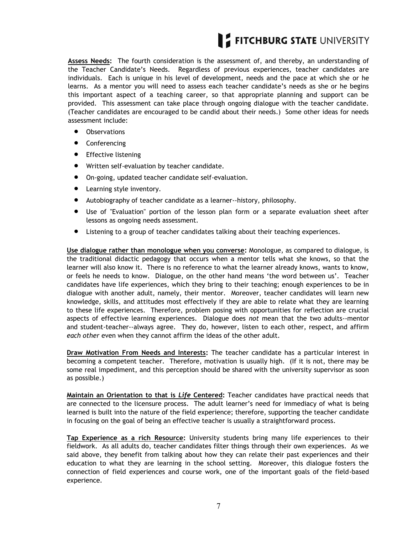**Assess Needs:** The fourth consideration is the assessment of, and thereby, an understanding of the Teacher Candidate"s Needs. Regardless of previous experiences, teacher candidates are individuals. Each is unique in his level of development, needs and the pace at which she or he learns. As a mentor you will need to assess each teacher candidate"s needs as she or he begins this important aspect of a teaching career, so that appropriate planning and support can be provided. This assessment can take place through ongoing dialogue with the teacher candidate. (Teacher candidates are encouraged to be candid about their needs.) Some other ideas for needs assessment include:

- **•** Observations
- Conferencing
- **•** Effective listening
- Written self-evaluation by teacher candidate.
- On-going, updated teacher candidate self-evaluation.
- Learning style inventory.
- Autobiography of teacher candidate as a learner--history, philosophy.
- Use of "Evaluation" portion of the lesson plan form or a separate evaluation sheet after lessons as ongoing needs assessment.
- Listening to a group of teacher candidates talking about their teaching experiences.

**Use dialogue rather than monologue when you converse:** Monologue, as compared to dialogue, is the traditional didactic pedagogy that occurs when a mentor tells what she knows, so that the learner will also know it. There is no reference to what the learner already knows, wants to know, or feels he needs to know. Dialogue, on the other hand means "the word between us". Teacher candidates have life experiences, which they bring to their teaching; enough experiences to be in dialogue with another adult, namely, their mentor. Moreover, teacher candidates will learn new knowledge, skills, and attitudes most effectively if they are able to relate what they are learning to these life experiences. Therefore, problem posing with opportunities for reflection are crucial aspects of effective learning experiences. Dialogue does *not* mean that the two adults--mentor and student-teacher--always agree. They do, however, listen to each other, respect, and affirm *each other* even when they cannot affirm the ideas of the other adult.

**Draw Motivation From Needs and Interests:** The teacher candidate has a particular interest in becoming a competent teacher. Therefore, motivation is usually high. (If it is not, there may be some real impediment, and this perception should be shared with the university supervisor as soon as possible.)

**Maintain an Orientation to that is** *Life* **Centered:** Teacher candidates have practical needs that are connected to the licensure process. The adult learner's need for immediacy of what is being learned is built into the nature of the field experience; therefore, supporting the teacher candidate in focusing on the goal of being an effective teacher is usually a straightforward process.

**Tap Experience as a rich Resource:** University students bring many life experiences to their fieldwork. As all adults do, teacher candidates filter things through their own experiences. As we said above, they benefit from talking about how they can relate their past experiences and their education to what they are learning in the school setting. Moreover, this dialogue fosters the connection of field experiences and course work, one of the important goals of the field-based experience.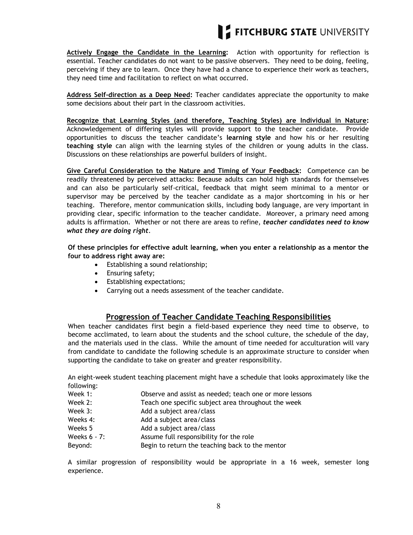

**Actively Engage the Candidate in the Learning:** Action with opportunity for reflection is essential. Teacher candidates do not want to be passive observers. They need to be doing, feeling, perceiving if they are to learn. Once they have had a chance to experience their work as teachers, they need time and facilitation to reflect on what occurred.

**Address Self-direction as a Deep Need:** Teacher candidates appreciate the opportunity to make some decisions about their part in the classroom activities.

**Recognize that Learning Styles (and therefore, Teaching Styles) are Individual in Nature:**  Acknowledgement of differing styles will provide support to the teacher candidate. Provide opportunities to discuss the teacher candidate"s **learning style** and how his or her resulting **teaching style** can align with the learning styles of the children or young adults in the class. Discussions on these relationships are powerful builders of insight*.*

**Give Careful Consideration to the Nature and Timing of Your Feedback:** Competence can be readily threatened by perceived attacks: Because adults can hold high standards for themselves and can also be particularly self-critical, feedback that might seem minimal to a mentor or supervisor may be perceived by the teacher candidate as a major shortcoming in his or her teaching. Therefore, mentor communication skills, including body language, are very important in providing clear, specific information to the teacher candidate. Moreover, a primary need among adults is affirmation. Whether or not there are areas to refine, *teacher candidates need to know what they are doing right*.

**Of these principles for effective adult learning, when you enter a relationship as a mentor the four to address right away are:** 

- Establishing a sound relationship;
- Ensuring safety;
- Establishing expectations;
- Carrying out a needs assessment of the teacher candidate.

#### **Progression of Teacher Candidate Teaching Responsibilities**

When teacher candidates first begin a field-based experience they need time to observe, to become acclimated, to learn about the students and the school culture, the schedule of the day, and the materials used in the class. While the amount of time needed for acculturation will vary from candidate to candidate the following schedule is an approximate structure to consider when supporting the candidate to take on greater and greater responsibility.

An eight-week student teaching placement might have a schedule that looks approximately like the following:

- Week 1: Observe and assist as needed; teach one or more lessons
- Week 2: Teach one specific subject area throughout the week
- Week 3: Add a subject area/class
- Weeks 4: Add a subject area/class
- Weeks 5 Add a subject area/class
- Weeks 6 7: Assume full responsibility for the role
- Beyond: Begin to return the teaching back to the mentor

A similar progression of responsibility would be appropriate in a 16 week, semester long experience.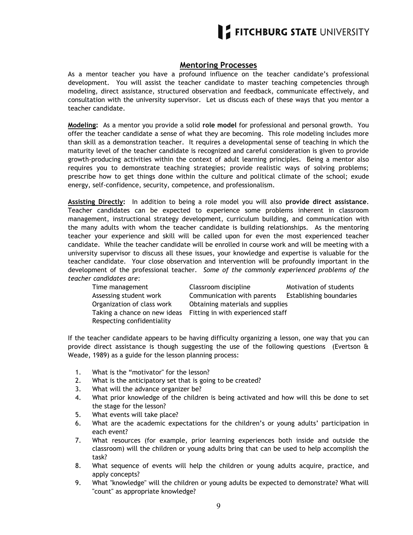#### **Mentoring Processes**

As a mentor teacher you have a profound influence on the teacher candidate's professional development. You will assist the teacher candidate to master teaching competencies through modeling, direct assistance, structured observation and feedback, communicate effectively, and consultation with the university supervisor. Let us discuss each of these ways that you mentor a teacher candidate.

**Modeling:** As a mentor you provide a solid **role model** for professional and personal growth. You offer the teacher candidate a sense of what they are becoming. This role modeling includes more than skill as a demonstration teacher. It requires a developmental sense of teaching in which the maturity level of the teacher candidate is recognized and careful consideration is given to provide growth-producing activities within the context of adult learning principles. Being a mentor also requires you to demonstrate teaching strategies; provide realistic ways of solving problems; prescribe how to get things done within the culture and political climate of the school; exude energy, self-confidence, security, competence, and professionalism.

**Assisting Directly:** In addition to being a role model you will also **provide direct assistance**. Teacher candidates can be expected to experience some problems inherent in classroom management, instructional strategy development, curriculum building, and communication with the many adults with whom the teacher candidate is building relationships. As the mentoring teacher your experience and skill will be called upon for even the most experienced teacher candidate. While the teacher candidate will be enrolled in course work and will be meeting with a university supervisor to discuss all these issues, your knowledge and expertise is valuable for the teacher candidate. Your close observation and intervention will be profoundly important in the development of the professional teacher. *Some of the commonly experienced problems of the teacher candidates are*:

| Time management            | Classroom discipline                                           | Motivation of students         |
|----------------------------|----------------------------------------------------------------|--------------------------------|
| Assessing student work     | Communication with parents                                     | <b>Establishing boundaries</b> |
| Organization of class work | Obtaining materials and supplies                               |                                |
|                            | Taking a chance on new ideas Fitting in with experienced staff |                                |
| Respecting confidentiality |                                                                |                                |

If the teacher candidate appears to be having difficulty organizing a lesson, one way that you can provide direct assistance is though suggesting the use of the following questions (Evertson  $\hat{a}$ Weade, 1989) as a guide for the lesson planning process:

- 1. What is the "motivator" for the lesson?
- 2. What is the anticipatory set that is going to be created?
- 3. What will the advance organizer be?
- 4. What prior knowledge of the children is being activated and how will this be done to set the stage for the lesson?
- 5. What events will take place?
- 6. What are the academic expectations for the children's or young adults' participation in each event?
- 7. What resources (for example, prior learning experiences both inside and outside the classroom) will the children or young adults bring that can be used to help accomplish the task?
- 8. What sequence of events will help the children or young adults acquire, practice, and apply concepts?
- 9. What "knowledge" will the children or young adults be expected to demonstrate? What will "count" as appropriate knowledge?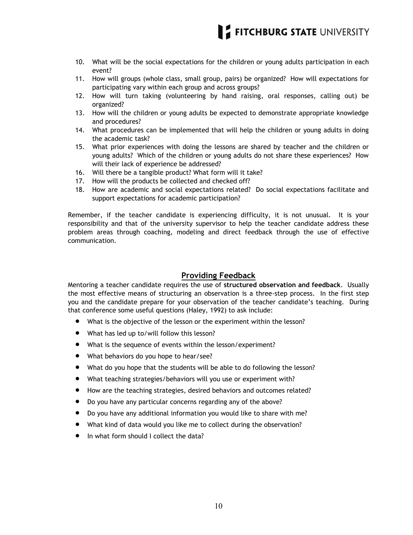

- 10. What will be the social expectations for the children or young adults participation in each event?
- 11. How will groups (whole class, small group, pairs) be organized? How will expectations for participating vary within each group and across groups?
- 12. How will turn taking (volunteering by hand raising, oral responses, calling out) be organized?
- 13. How will the children or young adults be expected to demonstrate appropriate knowledge and procedures?
- 14. What procedures can be implemented that will help the children or young adults in doing the academic task?
- 15. What prior experiences with doing the lessons are shared by teacher and the children or young adults? Which of the children or young adults do not share these experiences? How will their lack of experience be addressed?
- 16. Will there be a tangible product? What form will it take?
- 17. How will the products be collected and checked off?
- 18. How are academic and social expectations related? Do social expectations facilitate and support expectations for academic participation?

Remember, if the teacher candidate is experiencing difficulty, it is not unusual. It is your responsibility and that of the university supervisor to help the teacher candidate address these problem areas through coaching, modeling and direct feedback through the use of effective communication.

#### **Providing Feedback**

Mentoring a teacher candidate requires the use of **structured observation and feedback**. Usually the most effective means of structuring an observation is a three-step process. In the first step you and the candidate prepare for your observation of the teacher candidate"s teaching. During that conference some useful questions (Haley, 1992) to ask include:

- What is the objective of the lesson or the experiment within the lesson?
- What has led up to/will follow this lesson?
- What is the sequence of events within the lesson/experiment?
- What behaviors do you hope to hear/see?
- What do you hope that the students will be able to do following the lesson?
- What teaching strategies/behaviors will you use or experiment with?
- How are the teaching strategies, desired behaviors and outcomes related?
- Do you have any particular concerns regarding any of the above?
- Do you have any additional information you would like to share with me?
- What kind of data would you like me to collect during the observation?
- In what form should I collect the data?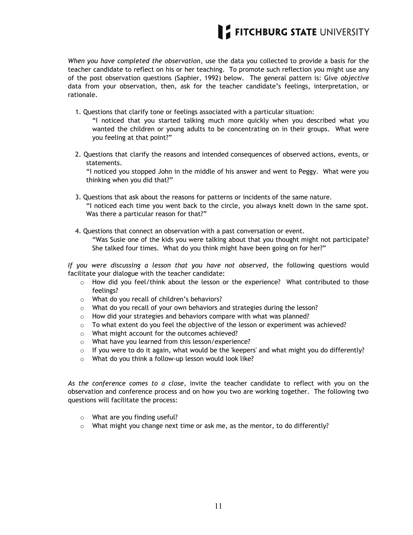

*When you have completed the observation*, use the data you collected to provide a basis for the teacher candidate to reflect on his or her teaching. To promote such reflection you might use any of the post observation questions (Saphier, 1992) below. The general pattern is: Give *objective* data from your observation, then, ask for the teacher candidate"s feelings, interpretation, or rationale.

- 1. Questions that clarify tone or feelings associated with a particular situation:
	- "I noticed that you started talking much more quickly when you described what you wanted the children or young adults to be concentrating on in their groups. What were you feeling at that point?"
- 2. Questions that clarify the reasons and intended consequences of observed actions, events, or statements.

"I noticed you stopped John in the middle of his answer and went to Peggy. What were you thinking when you did that?"

- 3. Questions that ask about the reasons for patterns or incidents of the same nature. "I noticed each time you went back to the circle, you always knelt down in the same spot. Was there a particular reason for that?"
- 4. Questions that connect an observation with a past conversation or event. "Was Susie one of the kids you were talking about that you thought might not participate? She talked four times. What do you think might have been going on for her?"

*If you were discussing a lesson that you have not observed*, the following questions would facilitate your dialogue with the teacher candidate:

- o How did you feel/think about the lesson or the experience? What contributed to those feelings?
- o What do you recall of children"s behaviors?
- $\circ$  What do you recall of your own behaviors and strategies during the lesson?
- o How did your strategies and behaviors compare with what was planned?
- $\circ$  To what extent do you feel the objective of the lesson or experiment was achieved?
- o What might account for the outcomes achieved?
- o What have you learned from this lesson/experience?
- $\circ$  If you were to do it again, what would be the 'keepers' and what might you do differently?
- o What do you think a follow-up lesson would look like?

*As the conference comes to a close*, invite the teacher candidate to reflect with you on the observation and conference process and on how you two are working together. The following two questions will facilitate the process:

- o What are you finding useful?
- $\circ$  What might you change next time or ask me, as the mentor, to do differently?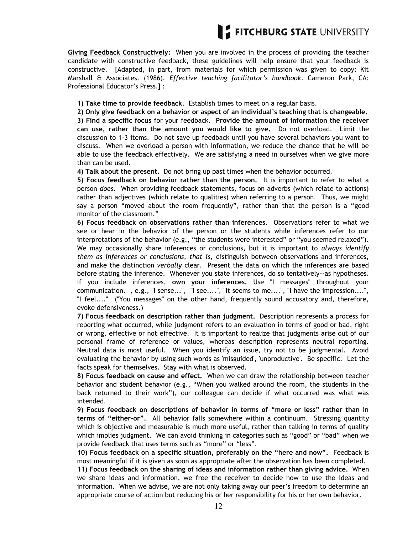

**Giving Feedback Constructively:** When you are involved in the process of providing the teacher candidate with constructive feedback, these guidelines will help ensure that your feedback is constructive. [Adapted, in part, from materials for which permission was given to copy: Kit Marshall & Associates. (1986). *Effective teaching facilitator's handbook*. Cameron Park, CA: Professional Educator"s Press.] :

**1) Take time to provide feedback**. Establish times to meet on a regular basis.

**2) Only give feedback on a behavior or aspect of an individual's teaching that is changeable.**

**3) Find a specific focus** for your feedback. **Provide the amount of information the receiver can use, rather than the amount you would like to give.** Do not overload. Limit the discussion to 1-3 items. Do not save up feedback until you have several behaviors you want to discuss. When we overload a person with information, we reduce the chance that he will be able to use the feedback effectively. We are satisfying a need in ourselves when we give more than can be used.

**4) Talk about the present.** Do not bring up past times when the behavior occurred.

**5) Focus feedback on behavior rather than the person.** It is important to refer to what a person *does*. When providing feedback statements, focus on adverbs (which relate to actions) rather than adjectives (which relate to qualities) when referring to a person. Thus, we might say a person "moved about the room frequently", rather than that the person is a "good monitor of the classroom."

**6) Focus feedback on observations rather than inferences.** Observations refer to what we see or hear in the behavior of the person or the students while inferences refer to our interpretations of the behavior (e.g., "the students were interested" or "you seemed relaxed"). We may occasionally share inferences or conclusions, but it is important to *always identify them as inferences or conclusions, that is,* distinguish between observations and inferences, and make the distinction *verbally* clear. Present the data on which the inferences are based before stating the inference. Whenever you state inferences, do so tentatively--as hypotheses. If you include inferences, **own your inferences.** Use "I messages" throughout your communication. , e.g., "I sense...", "I see....", "It seems to me....", "I have the impression....", "I feel...." ("You messages" on the other hand, frequently sound accusatory and, therefore, evoke defensiveness.)

**7) Focus feedback on description rather than judgment.** Description represents a process for reporting what occurred, while judgment refers to an evaluation in terms of good or bad, right or wrong, effective or not effective. It is important to realize that judgments arise out of our personal frame of reference or values, whereas description represents neutral reporting. Neutral data is most useful. When you identify an issue, try not to be judgmental. Avoid evaluating the behavior by using such words as 'misguided', 'unproductive'. Be specific. Let the facts speak for themselves. Stay with what is observed.

**8) Focus feedback on cause and effect.** When we can draw the relationship between teacher behavior and student behavior (e.g., "When you walked around the room, the students in the back returned to their work"), our colleague can decide if what occurred was what was intended.

**9) Focus feedback on descriptions of behavior in terms of "more or less" rather than in terms of "either-or".** All behavior falls somewhere within a continuum. Stressing quantity which is objective and measurable is much more useful, rather than talking in terms of quality which implies judgment. We can avoid thinking in categories such as "good" or "bad" when we provide feedback that uses terms such as "more" or "less".

**10) Focus feedback on a specific situation, preferably on the "here and now".** Feedback is most meaningful if it is given as soon as appropriate after the observation has been completed.

**11) Focus feedback on the sharing of ideas and information rather than giving advice.** When we share ideas and information, we free the receiver to decide how to use the ideas and information. When we advise, we are not only taking away our peer"s freedom to determine an appropriate course of action but reducing his or her responsibility for his or her own behavior.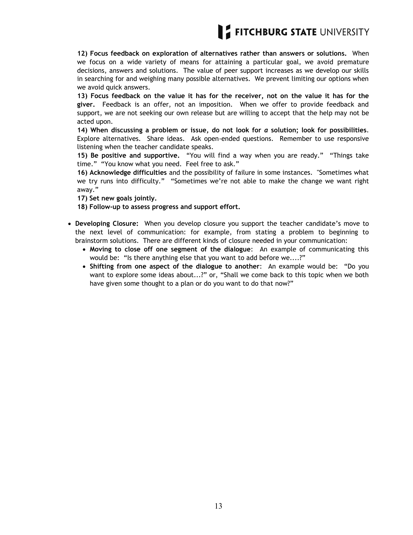**12) Focus feedback on exploration of alternatives rather than answers or solutions.** When we focus on a wide variety of means for attaining a particular goal, we avoid premature decisions, answers and solutions. The value of peer support increases as we develop our skills in searching for and weighing many possible alternatives. We prevent limiting our options when we avoid quick answers.

**13) Focus feedback on the value it has for the receiver, not on the value it has for the giver.** Feedback is an offer, not an imposition. When we offer to provide feedback and support, we are not seeking our own release but are willing to accept that the help may not be acted upon.

**14) When discussing a problem or issue, do not look for** *a* **solution; look for possibilities**. Explore alternatives. Share ideas. Ask open-ended questions. Remember to use responsive listening when the teacher candidate speaks.

**15) Be positive and supportive.** "You will find a way when you are ready." "Things take time." "You know what you need. Feel free to ask."

**16) Acknowledge difficulties** and the possibility of failure in some instances. "Sometimes what we try runs into difficulty." "Sometimes we"re not able to make the change we want right away."

**17) Set new goals jointly.**

**18) Follow-up to assess progress and support effort.**

- **Developing Closure:** When you develop closure you support the teacher candidate"s move to the next level of communication: for example, from stating a problem to beginning to brainstorm solutions. There are different kinds of closure needed in your communication:
	- **Moving to close off one segment of the dialogue**: An example of communicating this would be: "Is there anything else that you want to add before we....?"
	- **Shifting from one aspect of the dialogue to another**: An example would be: "Do you want to explore some ideas about...?" or, "Shall we come back to this topic when we both have given some thought to a plan or do you want to do that now?"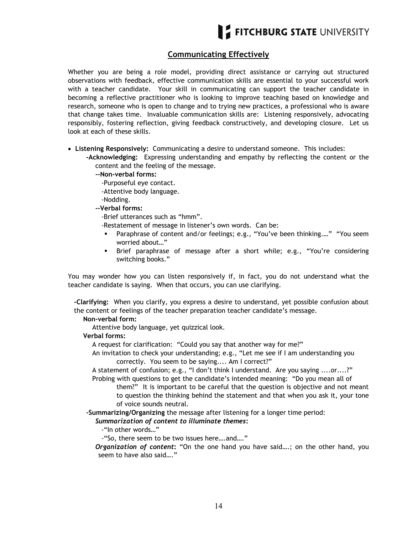#### **Communicating Effectively**

Whether you are being a role model, providing direct assistance or carrying out structured observations with feedback, effective communication skills are essential to your successful work with a teacher candidate. Your skill in communicating can support the teacher candidate in becoming a reflective practitioner who is looking to improve teaching based on knowledge and research, someone who is open to change and to trying new practices, a professional who is aware that change takes time. Invaluable communication skills are: Listening responsively, advocating responsibly, fostering reflection, giving feedback constructively, and developing closure. Let us look at each of these skills.

**Listening Responsively:** Communicating a desire to understand someone. This includes:

**-Acknowledging:** Expressing understanding and empathy by reflecting the content or the content and the feeling of the message.

- **--Non-verbal forms:**
	- -Purposeful eye contact.
	- -Attentive body language.
	- -Nodding.
- **--Verbal forms:**
	- -Brief utterances such as "hmm".
	- -Restatement of message in listener"s own words. Can be:
	- Paraphrase of content and/or feelings; e.g., "You"ve been thinking.…" "You seem worried about…"
	- Brief paraphrase of message after a short while; e.g., "You"re considering switching books."

You may wonder how you can listen responsively if, in fact, you do not understand what the teacher candidate is saying. When that occurs, you can use clarifying.

**-Clarifying:** When you clarify, you express a desire to understand, yet possible confusion about the content or feelings of the teacher preparation teacher candidate"s message.

#### **Non-verbal form:**

Attentive body language, yet quizzical look.

#### **Verbal forms:**

A request for clarification: "Could you say that another way for me?"

An invitation to check your understanding; e.g., "Let me see if I am understanding you correctly. You seem to be saying.... Am I correct?"

A statement of confusion; e.g., "I don"t think I understand. Are you saying ....or....?" Probing with questions to get the candidate's intended meaning: "Do you mean all of

them?" It is important to be careful that the question is objective and not meant to question the thinking behind the statement and that when you ask it, your tone of voice sounds neutral.

**-Summarizing/Organizing** the message after listening for a longer time period:

#### *Summarization of content to illuminate themes***:**

-"In other words…"

-"So, there seem to be two issues here….and…."

*Organization of content***:** "On the one hand you have said….; on the other hand, you seem to have also said…."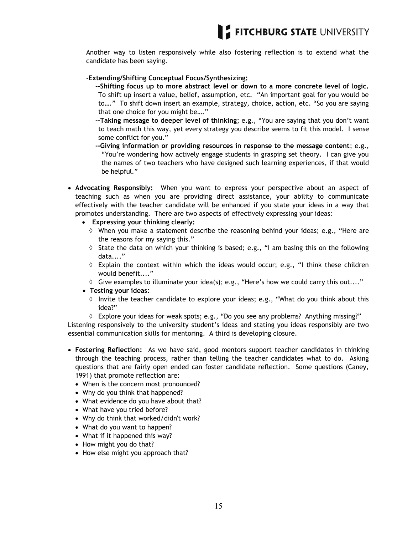Another way to listen responsively while also fostering reflection is to extend what the candidate has been saying.

#### **-Extending/Shifting Conceptual Focus/Synthesizing:**

- **--Shifting focus up to more abstract level or down to a more concrete level of logic.**  To shift up insert a value, belief, assumption, etc. "An important goal for you would be to…." To shift down insert an example, strategy, choice, action, etc. "So you are saying that one choice for you might be…."
- **--Taking message to deeper level of thinking**; e.g., "You are saying that you don"t want to teach math this way, yet every strategy you describe seems to fit this model. I sense some conflict for you."
- **--Giving information or providing resources in response to the message content**; e.g., "You"re wondering how actively engage students in grasping set theory. I can give you the names of two teachers who have designed such learning experiences, if that would be helpful."
- **Advocating Responsibly:** When you want to express your perspective about an aspect of teaching such as when you are providing direct assistance, your ability to communicate effectively with the teacher candidate will be enhanced if you state your ideas in a way that promotes understanding. There are two aspects of effectively expressing your ideas:
	- **Expressing your thinking clearly:**
		- $\Diamond$  When you make a statement describe the reasoning behind your ideas; e.g., "Here are the reasons for my saying this."
		- $\Diamond$  State the data on which your thinking is based; e.g., "I am basing this on the following data...."
		- $\Diamond$  Explain the context within which the ideas would occur; e.g., "I think these children would benefit...."
		- $\Diamond$  Give examples to illuminate your idea(s); e.g., "Here's how we could carry this out...."
	- **Testing your ideas:** 
		- $\Diamond$  Invite the teacher candidate to explore your ideas; e.g., "What do you think about this idea?"
		- Explore your ideas for weak spots; e.g., "Do you see any problems? Anything missing?"

Listening responsively to the university student's ideas and stating you ideas responsibly are two essential communication skills for mentoring. A third is developing closure.

- **Fostering Reflection:** As we have said, good mentors support teacher candidates in thinking through the teaching process, rather than telling the teacher candidates what to do. Asking questions that are fairly open ended can foster candidate reflection. Some questions (Caney, 1991) that promote reflection are:
	- When is the concern most pronounced?
	- Why do you think that happened?
	- What evidence do you have about that?
	- What have you tried before?
	- Why do think that worked/didn't work?
	- What do you want to happen?
	- What if it happened this way?
	- How might you do that?
	- How else might you approach that?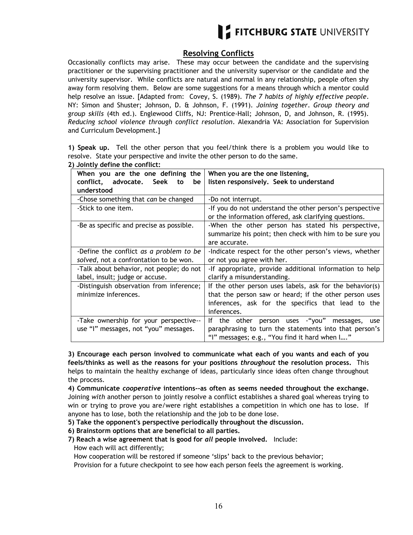

#### **Resolving Conflicts**

Occasionally conflicts may arise. These may occur between the candidate and the supervising practitioner or the supervising practitioner and the university supervisor or the candidate and the university supervisor. While conflicts are natural and normal in any relationship, people often shy away form resolving them. Below are some suggestions for a means through which a mentor could help resolve an issue. [Adapted from: Covey, S. (1989). *The 7 habits of highly effective people*. NY: Simon and Shuster; Johnson, D. & Johnson, F. (1991). *Joining together*. *Group theory and group skills* (4th ed.). Englewood Cliffs, NJ: Prentice-Hall; Johnson, D, and Johnson, R. (1995). *Reducing school violence through conflict resolution*. Alexandria VA: Association for Supervision and Curriculum Development.]

**1) Speak up.** Tell the other person that you feel/think there is a problem you would like to resolve. State your perspective and invite the other person to do the same. **2) Jointly define the conflict:**

| When you are the one defining the        | When you are the one listening,                          |  |
|------------------------------------------|----------------------------------------------------------|--|
| conflict, advocate. Seek<br>be<br>to     | listen responsively. Seek to understand                  |  |
| understood                               |                                                          |  |
| -Chose something that can be changed     | -Do not interrupt.                                       |  |
| -Stick to one item.                      | -If you do not understand the other person's perspective |  |
|                                          | or the information offered, ask clarifying questions.    |  |
| -Be as specific and precise as possible. | -When the other person has stated his perspective,       |  |
|                                          | summarize his point; then check with him to be sure you  |  |
|                                          | are accurate.                                            |  |
| -Define the conflict as a problem to be  | -Indicate respect for the other person's views, whether  |  |
| solved, not a confrontation to be won.   | or not you agree with her.                               |  |
| -Talk about behavior, not people; do not | -If appropriate, provide additional information to help  |  |
| label, insult; judge or accuse.          | clarify a misunderstanding.                              |  |
| -Distinguish observation from inference; | If the other person uses labels, ask for the behavior(s) |  |
| minimize inferences.                     | that the person saw or heard; if the other person uses   |  |
|                                          | inferences, ask for the specifics that lead to the       |  |
|                                          | inferences.                                              |  |
| -Take ownership for your perspective--   | the other person uses - "you" messages,<br>lf.<br>use    |  |
| use "I" messages, not "you" messages.    | paraphrasing to turn the statements into that person's   |  |
|                                          | "I" messages; e.g., "You find it hard when I"            |  |

**3) Encourage each person involved to communicate what each of you wants and each of you feels/thinks as well as the reasons for your positions** *throughout* **the resolution process.** This helps to maintain the healthy exchange of ideas, particularly since ideas often change throughout the process.

**4) Communicate** *cooperative* **intentions--as often as seems needed throughout the exchange.** Joining *with* another person to jointly resolve a conflict establishes a shared goal whereas trying to win or trying to prove you are/were right establishes a competition in which one has to lose. If anyone has to lose, both the relationship and the job to be done lose.

**5) Take the opponent's perspective periodically throughout the discussion.**

**6) Brainstorm options that are beneficial to all parties.**

#### **7) Reach a wise agreement that is good for** *all* **people involved.** Include: How each will act differently;

How cooperation will be restored if someone "slips" back to the previous behavior;

Provision for a future checkpoint to see how each person feels the agreement is working.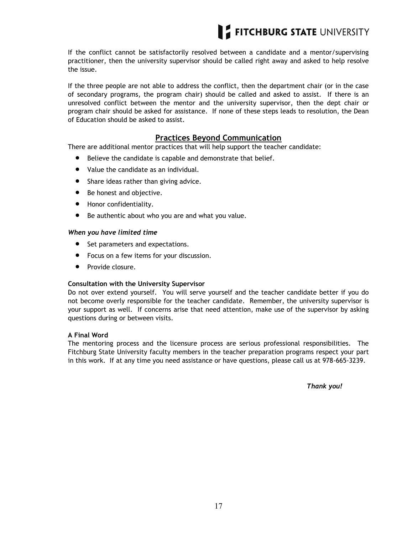

If the conflict cannot be satisfactorily resolved between a candidate and a mentor/supervising practitioner, then the university supervisor should be called right away and asked to help resolve the issue.

If the three people are not able to address the conflict, then the department chair (or in the case of secondary programs, the program chair) should be called and asked to assist. If there is an unresolved conflict between the mentor and the university supervisor, then the dept chair or program chair should be asked for assistance. If none of these steps leads to resolution, the Dean of Education should be asked to assist.

#### **Practices Beyond Communication**

There are additional mentor practices that will help support the teacher candidate:

- Believe the candidate is capable and demonstrate that belief.
- Value the candidate as an individual.
- Share ideas rather than giving advice.
- Be honest and objective.
- **•** Honor confidentiality.
- Be authentic about who you are and what you value.

#### *When you have limited time*

- Set parameters and expectations.
- Focus on a few items for your discussion.
- Provide closure.

#### **Consultation with the University Supervisor**

Do not over extend yourself. You will serve yourself and the teacher candidate better if you do not become overly responsible for the teacher candidate. Remember, the university supervisor is your support as well. If concerns arise that need attention, make use of the supervisor by asking questions during or between visits.

#### **A Final Word**

The mentoring process and the licensure process are serious professional responsibilities. The Fitchburg State University faculty members in the teacher preparation programs respect your part in this work. If at any time you need assistance or have questions, please call us at 978-665-3239.

*Thank you!*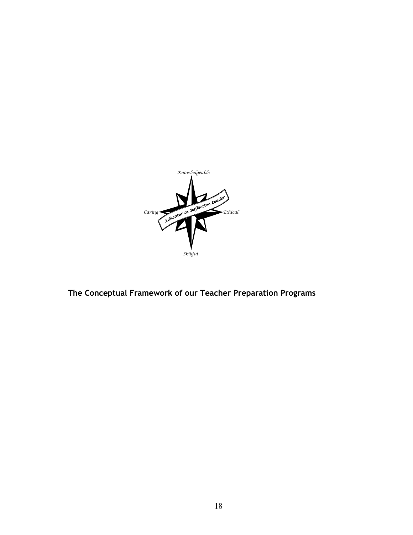

**The Conceptual Framework of our Teacher Preparation Programs**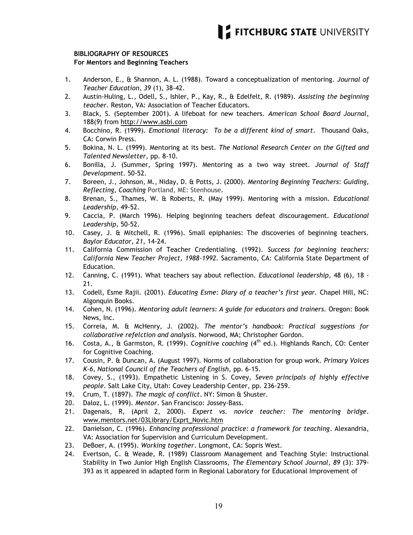#### **BIBLIOGRAPHY OF RESOURCES For Mentors and Beginning Teachers**

- 1. Anderson, E., & Shannon, A. L. (1988). Toward a conceptualization of mentoring. *Journal of Teacher Education, 39* (1), 38-42.
- 2. Austin-Huling, L., Odell, S., Ishler, P., Kay, R., & Edelfelt, R. (1989). *Assisting the beginning teacher.* Reston, VA: Association of Teacher Educators.
- 3. Black, S. (September 2001). A lifeboat for new teachers. *American School Board Journal*, 188(*9*) from http://www.asbi.com
- 4. Bocchino, R. (1999). *Emotional literacy: To be a different kind of smart*. Thousand Oaks, CA: Corwin Press.
- 5. Bokina, N. L. (1999). Mentoring at its best. *The National Research Center on the Gifted and Talented Newsletter,* pp*.* 8-10.
- 6. Bonilla, J. (Summer, Spring 1997). Mentoring as a two way street. *Journal of Staff Development.* 50-52.
- 7. Boreen, J., Johnson, M., Niday, D. & Potts, J. (2000). *Mentoring Beginning Teachers*: *Guiding, Reflecting, Coaching* Portland, ME: Stenhouse**.**
- 8. Brenan, S., Thames, W. & Roberts, R. (May 1999). Mentoring with a mission. *Educational Leadership,* 49-52.
- 9. Caccia, P. (March 1996). Helping beginning teachers defeat discouragement. *Educational Leadership,* 50-52.
- 10. Casey, J. & Mitchell, R. (1996). Small epiphanies: The discoveries of beginning teachers. *Baylor Educator, 21,* 14-24.
- 11. California Commission of Teacher Credentialing. (1992). *Success for beginning teachers: California New Teacher Project, 1988-1992.* Sacramento, CA: California State Department of Education.
- 12. Canning, C. (1991). What teachers say about reflection. *Educational leadership*, 48 (6), 18 21.
- 13. Codell, Esme Rajii. (2001). *Educating Esme: Diary of a teacher's first year.* Chapel Hill, NC: Algonquin Books.
- 14. Cohen, N. (1996). *Mentoring adult learners: A guide for educators and trainers.* Oregon: Book News, Inc.
- 15. Correia, M. & McHenry, J. (2002). *The mentor's handbook: Practical suggestions for collaborative refelction and analysis.* Norwood, MA; Christopher Gordon.
- 16. Costa, A., & Garmston, R. (1999). *Cognitive coaching* (4th ed.). Highlands Ranch, CO: Center for Cognitive Coaching.
- 17. Cousin, P. & Duncan, A. (August 1997). Norms of collaboration for group work. *Primary Voices K-6, National Council of the Teachers of English,* pp. 6-15.
- 18. Covey, S., (1993). Empathetic Listening in S. Covey, *Seven principals of highly effective people.* Salt Lake City, Utah: Covey Leadership Center, pp. 236-259.
- 19. Crum, T. (1897). *The magic of conflict*. NY: Simon & Shuster.
- 20. Daloz, L. (1999). *Mentor*. San Francisco: Jossey-Bass.
- 21. Dagenais, R, (April 2, 2000). *Expert vs. novice teacher: The mentoring bridge*. www.mentors.net/03Library/Exprt\_Novic.htm
- 22. Danielson, C. (1996). *Enhancing professional practice: a framework for teaching*. Alexandria, VA: Association for Supervision and Curriculum Development.
- 23. DeBoer, A. (1995). *Working together*. Longmont, CA: Sopris West.
- 24. Evertson, C. & Weade, R. (1989) Classroom Management and Teaching Style: Instructional Stability in Two Junior High English Classrooms, *The Elementary School Journal*, *89* (3): 379- 393 as it appeared in adapted form in Regional Laboratory for Educational Improvement of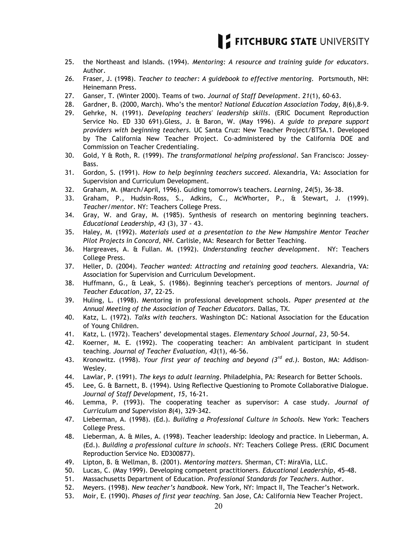

- 25. the Northeast and Islands. (1994). *Mentoring: A resource and training guide for educators*. Author.
- *26.* Fraser, J. (1998). *Teacher to teacher: A guidebook to effective mentoring.* Portsmouth, NH: Heinemann Press.
- 27. Ganser, T. (Winter 2000). Teams of two. *Journal of Staff Development*. *21*(1), 60-63.
- 28. Gardner, B. (2000, March). Who"s the mentor? *National Education Association Today, 8*(6),8-9.
- 29. Gehrke, N. (1991). *Developing teachers' leadership skills*. (ERIC Document Reproduction Service No. ED 330 691).Gless, J. & Baron, W. (May 1996). *A guide to prepare support providers with beginning teachers.* UC Santa Cruz: New Teacher Project/BTSA.1. Developed by The California New Teacher Project. Co-administered by the California DOE and Commission on Teacher Credentialing.
- 30. Gold, Y & Roth, R. (1999). *The transformational helping professional*. San Francisco: Jossey-Bass.
- 31. Gordon, S. (1991). *How to help beginning teachers succeed*. Alexandria, VA: Association for Supervision and Curriculum Development.
- 32. Graham, M. (March/April, 1996). Guiding tomorrow's teachers. *Learning*, *24*(5), 36-38.
- 33. Graham, P., Hudsin-Ross, S., Adkins, C., McWhorter, P., & Stewart, J. (1999). *Teacher/mentor*. NY: Teachers College Press.
- 34. Gray, W. and Gray, M. (1985). Synthesis of research on mentoring beginning teachers. *Educational Leadership*, *43* (3), 37 - 43.
- 35. Haley, M. (1992). *Materials used at a presentation to the New Hampshire Mentor Teacher Pilot Projects in Concord, NH*. Carlisle, MA: Research for Better Teaching.
- 36. Hargreaves, A. & Fullan. M. (1992). *Understanding teacher development*. NY: Teachers College Press.
- 37. Heller, D. (2004). *Teacher wanted: Attracting and retaining good teachers.* Alexandria, VA: Association for Supervision and Curriculum Development.
- 38. Huffmann, G., & Leak, S. (1986). Beginning teacher's perceptions of mentors. *Journal of Teacher Education, 37*, 22-25.
- 39. Huling, L. (1998). Mentoring in professional development schools*. Paper presented at the Annual Meeting of the Association of Teacher Educators.* Dallas, TX.
- 40. Katz, L. (1972). *Talks with teachers.* Washington DC: National Association for the Education of Young Children.
- 41. Katz, L. (1972). Teachers" developmental stages. *Elementary School Journal, 23*, 50-54.
- 42. Koerner, M. E. (1992). The cooperating teacher: An ambivalent participant in student teaching*. Journal of Teacher Evaluation, 43*(1), 46-56.
- 43. Kronowitz. (1998). *Your first year of teaching and beyond (3rd ed.).* Boston, MA: Addison-Wesley.
- 44. Lawlar, P. (1991). *The keys to adult learning*. Philadelphia, PA: Research for Better Schools.
- 45. Lee, G. & Barnett, B. (1994). Using Reflective Questioning to Promote Collaborative Dialogue. *Journal of Staff Development, 15*, 16-21.
- 46. Lemma, P. (1993). The cooperating teacher as supervisor: A case study*. Journal of Curriculum and Supervision 8*(4), 329-342.
- 47. Lieberman, A. (1998). (Ed.). *Building a Professional Culture in Schools.* New York: Teachers College Press.
- 48. Lieberman, A. & Miles, A. (1998). Teacher leadership: Ideology and practice. In Lieberman, A. (Ed.). *Building a professional culture in schools*. NY: Teachers College Press. (ERIC Document Reproduction Service No. ED300877).
- 49. Lipton, B. & Wellman, B. (2001). *Mentoring matters.* Sherman, CT: MiraVia, LLC.
- 50. Lucas, C. (May 1999). Developing competent practitioners. *Educational Leadership,* 45-48.
- 51. Massachusetts Department of Education. *Professional Standards for Teachers*. Author.
- 52. Meyers. (1998). *New teacher's handbook.* New York, NY: Impact II, The Teacher"s Network.
- 53. Moir, E. (1990). *Phases of first year teaching.* San Jose, CA: California New Teacher Project.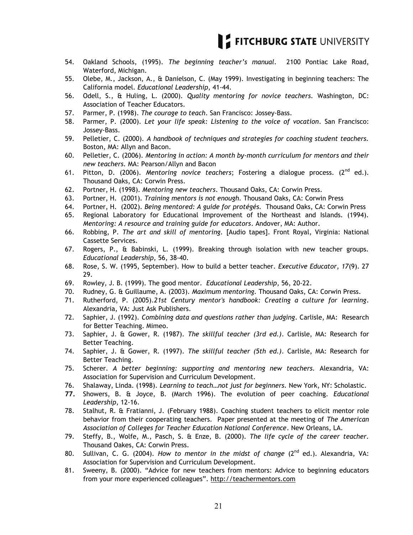

- 54. Oakland Schools, (1995). *The beginning teacher's manual.* 2100 Pontiac Lake Road, Waterford, Michigan.
- 55. Olebe, M., Jackson, A., & Danielson, C. (May 1999). Investigating in beginning teachers: The California model. *Educational Leadership*, 41-44.
- 56. Odell, S., & Huling, L. (2000). *Quality mentoring for novice teachers.* Washington, DC: Association of Teacher Educators.
- 57. Parmer, P. (1998). *The courage to teach*. San Francisco: Jossey-Bass.
- 58. Parmer, P. (2000). *Let your life speak: Listening to the voice of vocation*. San Francisco: Jossey-Bass.
- 59. Pelletier, C. (2000). *A handbook of techniques and strategies for coaching student teachers.*  Boston, MA: Allyn and Bacon.
- 60. Pelletier, C. (2006). *Mentoring in action: A month by-month curriculum for mentors and their new teachers.* MA: Pearson/Allyn and Bacon
- 61. Pitton, D. (2006). *Mentoring novice teachers*; Fostering a dialogue process. (2nd ed.). Thousand Oaks, CA: Corwin Press.
- 62. Portner, H. (1998). *Mentoring new teachers*. Thousand Oaks, CA: Corwin Press.
- 63. Portner, H. (2001). *Training mentors is not enough.* Thousand Oaks, CA: Corwin Press
- 64. Portner, H. (2002). *Being mentored: A guide for protégés.* Thousand Oaks, CA: Corwin Press
- 65. Regional Laboratory for Educational Improvement of the Northeast and Islands. (1994). *Mentoring: A resource and training guide for educators*. Andover, MA: Author.
- 66. Robbing, P. *The art and skill of mentoring.* [Audio tapes]. Front Royal, Virginia: National Cassette Services.
- 67. Rogers, P., & Babinski, L. (1999). Breaking through isolation with new teacher groups. *Educational Leadership,* 56, 38-40.
- 68. Rose, S. W. (1995, September). How to build a better teacher. *Executive Educator, 17*(9). 27 29.
- 69. Rowley, J. B. (1999). The good mentor. *Educational Leadership*, 56, 20-22.
- 70. Rudney, G. & Guillaume, A. (2003). *Maximum mentoring.* Thousand Oaks, CA: Corwin Press.
- 71. Rutherford, P. (2005).*21st Century mentor's handbook: Creating a culture for learning*. Alexandria, VA: Just Ask Publishers.
- 72. Saphier, J. (1992). *Combining data and questions rather than judging*. Carlisle, MA: Research for Better Teaching. Mimeo.
- 73. Saphier, J. & Gower, R. (1987). *The skillful teacher (3rd ed.)*. Carlisle, MA: Research for Better Teaching.
- 74. Saphier, J. & Gower, R. (1997). *The skillful teacher (5th ed.)*. Carlisle, MA: Research for Better Teaching.
- 75. Scherer. *A better beginning: supporting and mentoring new teachers.* Alexandria, VA: Association for Supervision and Curriculum Development.
- 76. Shalaway, Linda. (1998). *Learning to teach…not just for beginners.* New York, NY: Scholastic.
- **77.** Showers, B. & Joyce, B. (March 1996). The evolution of peer coaching. *Educational Leadership*, 12-16.
- 78. Stalhut, R. & Fratianni, J. (February 1988). Coaching student teachers to elicit mentor role behavior from their cooperating teachers. Paper presented at the meeting of *The American Association of Colleges for Teacher Education National Conference*. New Orleans, LA.
- 79. Steffy, B., Wolfe, M., Pasch, S. & Enze, B. (2000). *The life cycle of the career teacher.*  Thousand Oakes, CA: Corwin Press.
- 80. Sullivan, C. G. (2004). *How to mentor in the midst of change* (2nd ed.). Alexandria, VA: Association for Supervision and Curriculum Development.
- 81. Sweeny, B. (2000). "Advice for new teachers from mentors: Advice to beginning educators from your more experienced colleagues". http://teachermentors.com